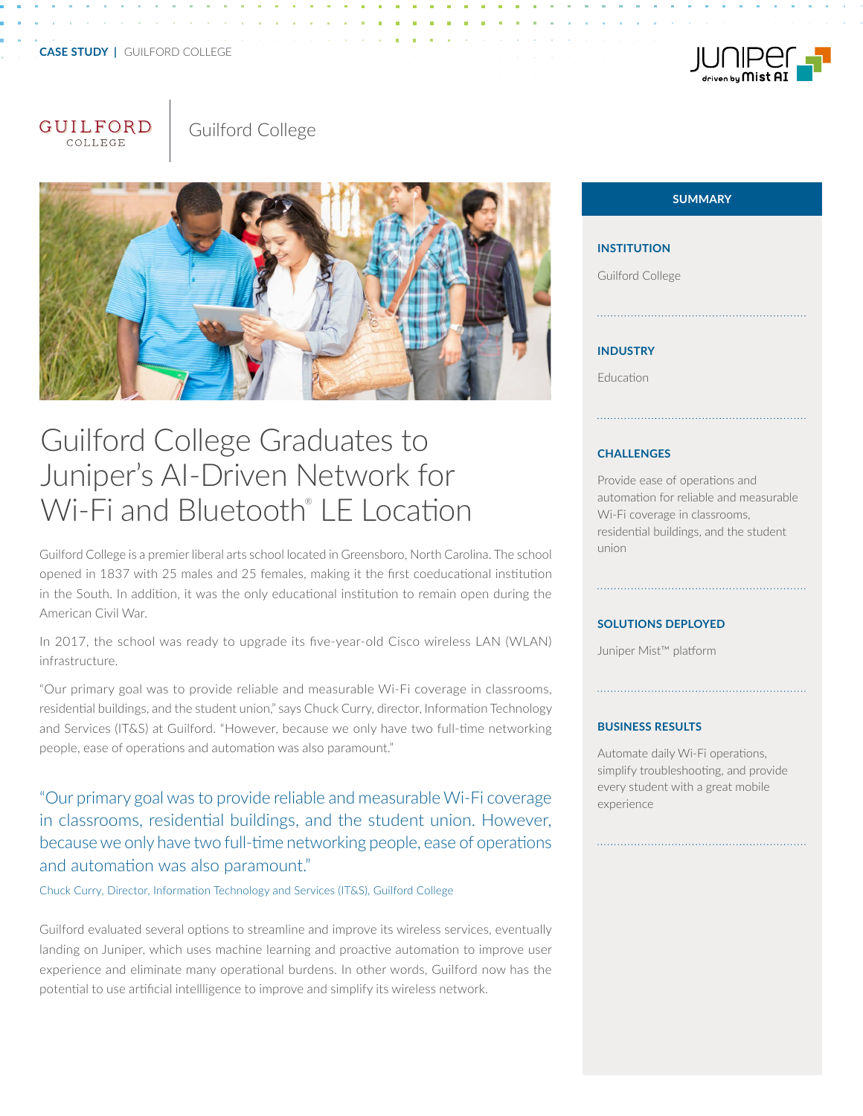# **CASE STUDY |** GUILFORD COLLEGE

# GUILFORD





# Guilford College Graduates to Juniper's AI-Driven Network for Wi-Fi and Bluetooth® LE Location

Guilford College is a premier liberal arts school located in Greensboro, North Carolina. The school opened in 1837 with 25 males and 25 females, making it the first coeducational institution in the South. In addition, it was the only educational institution to remain open during the American Civil War.

In 2017, the school was ready to upgrade its five-year-old Cisco wireless LAN (WLAN) infrastructure.

"Our primary goal was to provide reliable and measurable Wi-Fi coverage in classrooms, residential buildings, and the student union," says Chuck Curry, director, Information Technology and Services (IT&S) at Guilford. "However, because we only have two full-time networking people, ease of operations and automation was also paramount."

"Our primary goal was to provide reliable and measurable Wi-Fi coverage in classrooms, residential buildings, and the student union. However, because we only have two full-time networking people, ease of operations and automation was also paramount."

Chuck Curry, Director, Information Technology and Services (IT&S), Guilford College

Guilford evaluated several options to streamline and improve its wireless services, eventually landing on Juniper, which uses machine learning and proactive automation to improve user experience and eliminate many operational burdens. In other words, Guilford now has the potential to use artificial intellligence to improve and simplify its wireless network.

# **SUMMARY**

#### **INSTITUTION**

Guilford College

## **INDUSTRY**

Education

#### **CHALLENGES**

Provide ease of operations and automation for reliable and measurable Wi-Fi coverage in classrooms, residential buildings, and the student union

#### **SOLUTIONS DEPLOYED**

Juniper Mist™ platform

#### **BUSINESS RESULTS**

Automate daily Wi-Fi operations, simplify troubleshooting, and provide every student with a great mobile experience